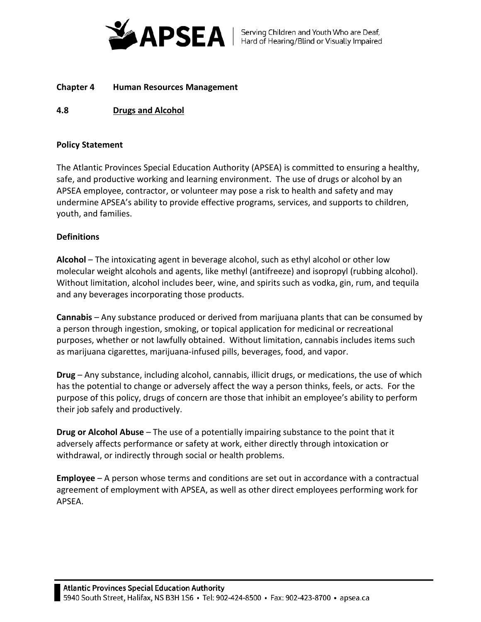

# **Chapter 4 Human Resources Management**

# **4.8 Drugs and Alcohol**

# **Policy Statement**

The Atlantic Provinces Special Education Authority (APSEA) is committed to ensuring a healthy, safe, and productive working and learning environment. The use of drugs or alcohol by an APSEA employee, contractor, or volunteer may pose a risk to health and safety and may undermine APSEA's ability to provide effective programs, services, and supports to children, youth, and families.

# **Definitions**

**Alcohol** – The intoxicating agent in beverage alcohol, such as ethyl alcohol or other low molecular weight alcohols and agents, like methyl (antifreeze) and isopropyl (rubbing alcohol). Without limitation, alcohol includes beer, wine, and spirits such as vodka, gin, rum, and tequila and any beverages incorporating those products.

**Cannabis** – Any substance produced or derived from marijuana plants that can be consumed by a person through ingestion, smoking, or topical application for medicinal or recreational purposes, whether or not lawfully obtained. Without limitation, cannabis includes items such as marijuana cigarettes, marijuana-infused pills, beverages, food, and vapor.

**Drug** – Any substance, including alcohol, cannabis, illicit drugs, or medications, the use of which has the potential to change or adversely affect the way a person thinks, feels, or acts. For the purpose of this policy, drugs of concern are those that inhibit an employee's ability to perform their job safely and productively.

**Drug or Alcohol Abuse** – The use of a potentially impairing substance to the point that it adversely affects performance or safety at work, either directly through intoxication or withdrawal, or indirectly through social or health problems.

**Employee** – A person whose terms and conditions are set out in accordance with a contractual agreement of employment with APSEA, as well as other direct employees performing work for APSEA.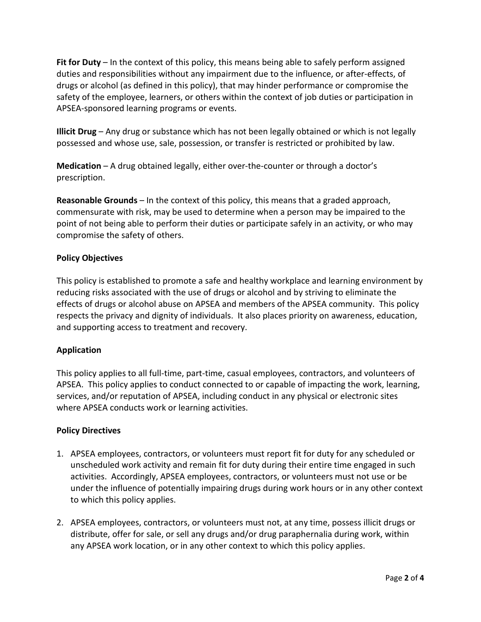**Fit for Duty** – In the context of this policy, this means being able to safely perform assigned duties and responsibilities without any impairment due to the influence, or after-effects, of drugs or alcohol (as defined in this policy), that may hinder performance or compromise the safety of the employee, learners, or others within the context of job duties or participation in APSEA-sponsored learning programs or events.

**Illicit Drug** – Any drug or substance which has not been legally obtained or which is not legally possessed and whose use, sale, possession, or transfer is restricted or prohibited by law.

**Medication** – A drug obtained legally, either over-the-counter or through a doctor's prescription.

**Reasonable Grounds** – In the context of this policy, this means that a graded approach, commensurate with risk, may be used to determine when a person may be impaired to the point of not being able to perform their duties or participate safely in an activity, or who may compromise the safety of others.

# **Policy Objectives**

This policy is established to promote a safe and healthy workplace and learning environment by reducing risks associated with the use of drugs or alcohol and by striving to eliminate the effects of drugs or alcohol abuse on APSEA and members of the APSEA community. This policy respects the privacy and dignity of individuals. It also places priority on awareness, education, and supporting access to treatment and recovery.

# **Application**

This policy applies to all full-time, part-time, casual employees, contractors, and volunteers of APSEA. This policy applies to conduct connected to or capable of impacting the work, learning, services, and/or reputation of APSEA, including conduct in any physical or electronic sites where APSEA conducts work or learning activities.

# **Policy Directives**

- 1. APSEA employees, contractors, or volunteers must report fit for duty for any scheduled or unscheduled work activity and remain fit for duty during their entire time engaged in such activities. Accordingly, APSEA employees, contractors, or volunteers must not use or be under the influence of potentially impairing drugs during work hours or in any other context to which this policy applies.
- 2. APSEA employees, contractors, or volunteers must not, at any time, possess illicit drugs or distribute, offer for sale, or sell any drugs and/or drug paraphernalia during work, within any APSEA work location, or in any other context to which this policy applies.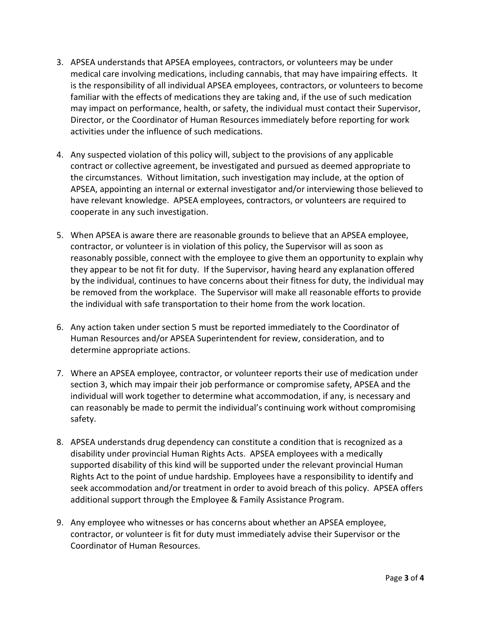- 3. APSEA understands that APSEA employees, contractors, or volunteers may be under medical care involving medications, including cannabis, that may have impairing effects. It is the responsibility of all individual APSEA employees, contractors, or volunteers to become familiar with the effects of medications they are taking and, if the use of such medication may impact on performance, health, or safety, the individual must contact their Supervisor, Director, or the Coordinator of Human Resources immediately before reporting for work activities under the influence of such medications.
- 4. Any suspected violation of this policy will, subject to the provisions of any applicable contract or collective agreement, be investigated and pursued as deemed appropriate to the circumstances. Without limitation, such investigation may include, at the option of APSEA, appointing an internal or external investigator and/or interviewing those believed to have relevant knowledge. APSEA employees, contractors, or volunteers are required to cooperate in any such investigation.
- 5. When APSEA is aware there are reasonable grounds to believe that an APSEA employee, contractor, or volunteer is in violation of this policy, the Supervisor will as soon as reasonably possible, connect with the employee to give them an opportunity to explain why they appear to be not fit for duty. If the Supervisor, having heard any explanation offered by the individual, continues to have concerns about their fitness for duty, the individual may be removed from the workplace. The Supervisor will make all reasonable efforts to provide the individual with safe transportation to their home from the work location.
- 6. Any action taken under section 5 must be reported immediately to the Coordinator of Human Resources and/or APSEA Superintendent for review, consideration, and to determine appropriate actions.
- 7. Where an APSEA employee, contractor, or volunteer reports their use of medication under section 3, which may impair their job performance or compromise safety, APSEA and the individual will work together to determine what accommodation, if any, is necessary and can reasonably be made to permit the individual's continuing work without compromising safety.
- 8. APSEA understands drug dependency can constitute a condition that is recognized as a disability under provincial Human Rights Acts. APSEA employees with a medically supported disability of this kind will be supported under the relevant provincial Human Rights Act to the point of undue hardship. Employees have a responsibility to identify and seek accommodation and/or treatment in order to avoid breach of this policy. APSEA offers additional support through the Employee & Family Assistance Program.
- 9. Any employee who witnesses or has concerns about whether an APSEA employee, contractor, or volunteer is fit for duty must immediately advise their Supervisor or the Coordinator of Human Resources.